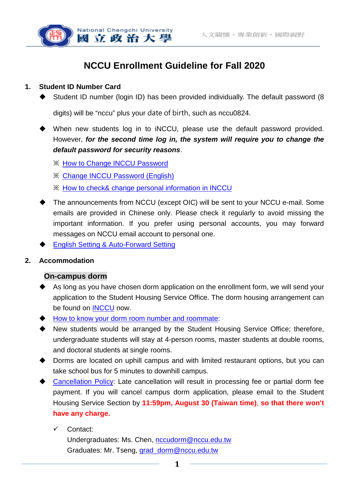

# **NCCU Enrollment Guideline for Fall 2020**

#### **1. Student ID Number Card**

Student ID number (login ID) has been provided individually. The default password (8

digits) will be "nccu" plus your date of birth, such as nccu0824.

- When new students log in to iNCCU, please use the default password provided. However, *for the second time log in, the system will require you to change the default password for security reasons*.
	- ※ How to Change [INCCU Password](https://drive.google.com/file/d/1wh06m8ZTZzA05qtaIdazCuRPXH8m1OI5/view?usp=sharing)
	- ※ [Change INCCU Password](https://drive.google.com/file/d/1MzShQ8rWC6qEWaykR5xI4oNuzco3ET6q/view?usp=sharing) (English)
	- ※ [How to check& change personal information in INCCU](https://drive.google.com/file/d/1j76pano_FOkFEs98s2paM_Vqi2nSeKZw/view?usp=sharing)
- The announcements from NCCU (except OIC) will be sent to your NCCU e-mail. Some emails are provided in Chinese only. Please check it regularly to avoid missing the important information. If you prefer using personal accounts, you may forward messages on NCCU email account to personal one.
- [English Setting & Auto-Forward Setting](https://drive.google.com/file/d/1vCZjDI1k1AiAAvyQbna_lL0B_F-jMbKS/view?usp=sharing)

## **2. Accommodation**

#### **On-campus dorm**

- As long as you have chosen dorm application on the enrollment form, we will send your application to the Student Housing Service Office. The dorm housing arrangement can be found on [INCCU](https://i.nccu.edu.tw/Login.aspx) now.
- [How to know your dorm room number and roommate:](https://drive.google.com/file/d/1aXznETJVQJDXVnoeNjUZBXJtCuN_w0Ya/view?usp=sharing)
- New students would be arranged by the Student Housing Service Office; therefore, undergraduate students will stay at 4-person rooms, master students at double rooms, and doctoral students at single rooms.
- Dorms are located on uphill campus and with limited restaurant options, but you can take school bus for 5 minutes to downhill campus.
- [Cancellation](http://osa.nccu.edu.tw/files/15646475145efaa574e719e.pdf) Policy: Late cancellation will result in processing fee or partial dorm fee payment. If you will cancel campus dorm application, please email to the Student Housing Service Section by **11:59pm, August 30 (Taiwan time)**, **so that there won't**  have any charge.
	- Contact:

Undergraduates: Ms. Chen, [nccudorm@nccu.edu.tw](mailto:nccudorm@nccu.edu.tw) Graduates: Mr. Tseng, [grad\\_dorm@nccu.edu.tw](mailto:grad_dorm@nccu.edu.tw)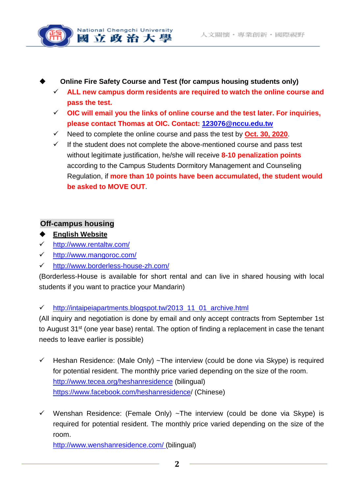

- **Online Fire Safety Course and Test (for campus housing students only)**
	- **ALL new campus dorm residents are required to watch the online course and pass the test.**
	- **OIC will email you the links of online course and the test later. For inquiries, please contact Thomas at OIC. Contact: 123076@nccu.edu.tw**
	- $\checkmark$  Need to complete the online course and pass the test by **Oct. 30, 2020**.
	- $\checkmark$  If the student does not complete the above-mentioned course and pass test without legitimate justification, he/she will receive **8-10 penalization points** according to the Campus Students Dormitory Management and Counseling Regulation, if **more than 10 points have been accumulated, the student would be asked to MOVE OUT**.

# **Off-campus housing**

- **English Website**
- <http://www.rentaltw.com/>
- <http://www.mangoroc.com/>
- <http://www.borderless-house-zh.com/>

(Borderless-House is available for short rental and can live in shared housing with local students if you want to practice your Mandarin)

 $\checkmark$  http://intaipeiapartments.blogspot.tw/2013 11\_01\_archive.html

(All inquiry and negotiation is done by email and only accept contracts from September 1st to August 31<sup>st</sup> (one year base) rental. The option of finding a replacement in case the tenant needs to leave earlier is possible)

- $\checkmark$  Heshan Residence: (Male Only) ~The interview (could be done via Skype) is required for potential resident. The monthly price varied depending on the size of the room. <http://www.tecea.org/heshanresidence> (bilingual) [https://www.facebook.com/heshanresidence/](https://www.facebook.com/heshanresidence) (Chinese)
- $\checkmark$  Wenshan Residence: (Female Only) ~The interview (could be done via Skype) is required for potential resident. The monthly price varied depending on the size of the room.

[http://www.wenshanresidence.com/ \(](http://www.wenshanresidence.com/)bilingual)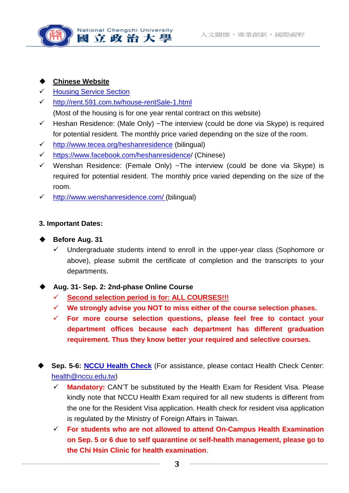

#### **Chinese Website**

- **[Housing Service Section](http://www.osa.nccu.edu.tw/osa-/dorm/home_rent/index.php)**
- <http://rent.591.com.tw/house-rentSale-1.html> (Most of the housing is for one year rental contract on this website)
- $\checkmark$  Heshan Residence: (Male Only) ~The interview (could be done via Skype) is required
- for potential resident. The monthly price varied depending on the size of the room.
- $\checkmark$  <http://www.tecea.org/heshanresidence> (bilingual)
- [https://www.facebook.com/heshanresidence/](https://www.facebook.com/heshanresidence) (Chinese)
- $\checkmark$  Wenshan Residence: (Female Only) ~The interview (could be done via Skype) is required for potential resident. The monthly price varied depending on the size of the room.
- [http://www.wenshanresidence.com/ \(](http://www.wenshanresidence.com/)bilingual)

#### **3. Important Dates:**

#### **Before Aug. 31**

 Undergraduate students intend to enroll in the upper-year class (Sophomore or above), please submit the certificate of completion and the transcripts to your departments.

## **Aug. 31- Sep. 2: 2nd-phase Online Course**

- **Second selection period is for: ALL COURSES!!!**
- **We strongly advise you NOT to miss either of the course selection phases.**
- **For more course selection questions, please feel free to contact your department offices because each department has different graduation requirement. Thus they know better your required and selective courses.**
- **Sep. 5-6: [NCCU Health Check](http://nccuadmission.nccu.edu.tw/en/enrollment_information/New_Students_To_Do_List)** (For assistance, please contact Health Check Center: health@nccu.edu.tw)
	- **Mandatory:** CAN'T be substituted by the Health Exam for Resident Visa. Please kindly note that NCCU Health Exam required for all new students is different from the one for the Resident Visa application. Health check for resident visa application is regulated by the Ministry of Foreign Affairs in Taiwan.
	- **For students who are not allowed to attend On-Campus Health Examination on Sep. 5 or 6 due to self quarantine or self-health management, please go to the Chi Hsin Clinic for health examination**.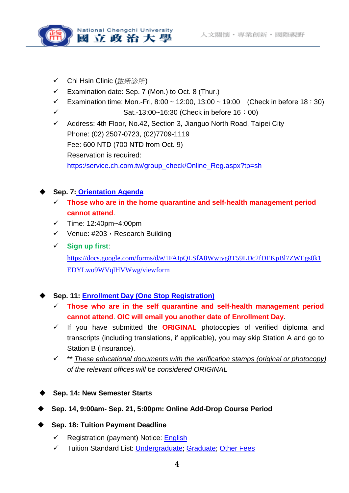

- ✔ Chi Hsin Clinic (啟新診所)
- $\checkmark$  Examination date: Sep. 7 (Mon.) to Oct. 8 (Thur.)
- Examination time: Mon.-Fri, 8:00 ~ 12:00, 13:00 ~ 19:00 (Check in before 18:30)
- $\checkmark$  Sat.-13:00~16:30 (Check in before 16:00)
- $\checkmark$  Address: 4th Floor, No.42, Section 3, Jianguo North Road, Taipei City Phone: (02) 2507-0723, (02)7709-1119 Fee: 600 NTD (700 NTD from Oct. 9) Reservation is required: [https:/service.ch.com.tw/group\\_check/Online\\_Reg.aspx?tp=sh](https://service.ch.com.tw/group_check/Online_Reg.aspx?tp=sh)

# **Sep. 7: [Orientation](https://drive.google.com/file/d/1MrndzGUa1SR4rMQdEYVIKCCrHAqqx4OB/view?usp=sharing) Agenda**

- **Those who are in the home quarantine and self-health management period cannot attend**.
- $\checkmark$  Time: 12:40pm~4:00pm
- $\checkmark$  Venue: #203, Research Building
- **Sign up first**:

[https://docs.google.com/forms/d/e/1FAIpQLSfA8Wwjyg8T59LDc2fDEKpBl7ZWEgs0k1](https://docs.google.com/forms/d/e/1FAIpQLSfA8Wwjyg8T59LDc2fDEKpBl7ZWEgs0k1EDYLwo9WVqlHVWwg/viewform) [EDYLwo9WVqlHVWwg/viewform](https://docs.google.com/forms/d/e/1FAIpQLSfA8Wwjyg8T59LDc2fDEKpBl7ZWEgs0k1EDYLwo9WVqlHVWwg/viewform)

# **Sep. 11: [Enrollment Day \(One Stop Registration\)](http://nccuadmission.nccu.edu.tw/en/enrollment_information/New_Students_To_Do_List)**

- **Those who are in the self quarantine and self-health management period cannot attend**. **OIC will email you another date of Enrollment Day**.
- $\checkmark$  If you have submitted the **ORIGINAL** photocopies of verified diploma and transcripts (including translations, if applicable), you may skip Station A and go to Station B (Insurance).
- \*\* *These educational documents with the verification stamps (original or photocopy) of the relevant offices will be considered ORIGINAL*
- **Sep. 14: New Semester Starts**
- **Sep. 14, 9:00am- Sep. 21, 5:00pm: Online Add-Drop Course Period**

## **Sep. 18: Tuition Payment Deadline**

- $\checkmark$  Registration (payment) Notice: [English](https://aca.nccu.edu.tw/en/latest-news-2/registration/4870-nccu-the-fall-semester-of-the-2020-registration-notice)
- Tuition Standard List: [Undergraduate;](http://aca.nccu.edu.tw/download/exMain/109/Undergraduate_Programs.pdf) [Graduate;](http://aca.nccu.edu.tw/download/exMain/109/Graduate_Programs.pdf) [Other Fees](http://aca.nccu.edu.tw/download/exMain/109/other_fees.pdf)